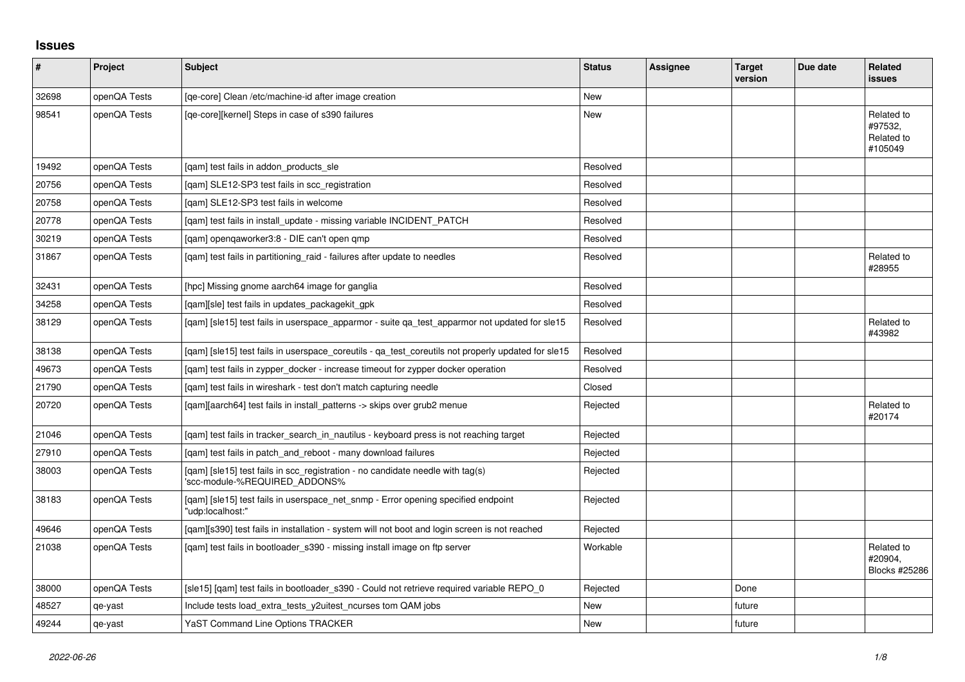## **Issues**

| #     | Project      | <b>Subject</b>                                                                                                  | <b>Status</b> | <b>Assignee</b> | <b>Target</b><br>version | Due date | <b>Related</b><br><b>issues</b>                |
|-------|--------------|-----------------------------------------------------------------------------------------------------------------|---------------|-----------------|--------------------------|----------|------------------------------------------------|
| 32698 | openQA Tests | [ge-core] Clean /etc/machine-id after image creation                                                            | <b>New</b>    |                 |                          |          |                                                |
| 98541 | openQA Tests | [qe-core][kernel] Steps in case of s390 failures                                                                | New           |                 |                          |          | Related to<br>#97532,<br>Related to<br>#105049 |
| 19492 | openQA Tests | [gam] test fails in addon products sle                                                                          | Resolved      |                 |                          |          |                                                |
| 20756 | openQA Tests | [gam] SLE12-SP3 test fails in scc registration                                                                  | Resolved      |                 |                          |          |                                                |
| 20758 | openQA Tests | [gam] SLE12-SP3 test fails in welcome                                                                           | Resolved      |                 |                          |          |                                                |
| 20778 | openQA Tests | [qam] test fails in install_update - missing variable INCIDENT_PATCH                                            | Resolved      |                 |                          |          |                                                |
| 30219 | openQA Tests | [gam] opengaworker3:8 - DIE can't open gmp                                                                      | Resolved      |                 |                          |          |                                                |
| 31867 | openQA Tests | [gam] test fails in partitioning raid - failures after update to needles                                        | Resolved      |                 |                          |          | Related to<br>#28955                           |
| 32431 | openQA Tests | [hpc] Missing gnome aarch64 image for ganglia                                                                   | Resolved      |                 |                          |          |                                                |
| 34258 | openQA Tests | [gam][sle] test fails in updates packagekit gpk                                                                 | Resolved      |                 |                          |          |                                                |
| 38129 | openQA Tests | [gam] [sle15] test fails in userspace apparmor - suite ga test apparmor not updated for sle15                   | Resolved      |                 |                          |          | Related to<br>#43982                           |
| 38138 | openQA Tests | [gam] [sle15] test fails in userspace coreutils - ga test coreutils not properly updated for sle15              | Resolved      |                 |                          |          |                                                |
| 49673 | openQA Tests | [gam] test fails in zypper_docker - increase timeout for zypper docker operation                                | Resolved      |                 |                          |          |                                                |
| 21790 | openQA Tests | [gam] test fails in wireshark - test don't match capturing needle                                               | Closed        |                 |                          |          |                                                |
| 20720 | openQA Tests | [qam][aarch64] test fails in install_patterns -> skips over grub2 menue                                         | Rejected      |                 |                          |          | Related to<br>#20174                           |
| 21046 | openQA Tests | [gam] test fails in tracker search in nautilus - keyboard press is not reaching target                          | Rejected      |                 |                          |          |                                                |
| 27910 | openQA Tests | [gam] test fails in patch and reboot - many download failures                                                   | Rejected      |                 |                          |          |                                                |
| 38003 | openQA Tests | [qam] [sle15] test fails in scc_registration - no candidate needle with tag(s)<br>'scc-module-%REQUIRED_ADDONS% | Rejected      |                 |                          |          |                                                |
| 38183 | openQA Tests | [qam] [sle15] test fails in userspace_net_snmp - Error opening specified endpoint<br>'udp:localhost:"           | Rejected      |                 |                          |          |                                                |
| 49646 | openQA Tests | [gam][s390] test fails in installation - system will not boot and login screen is not reached                   | Rejected      |                 |                          |          |                                                |
| 21038 | openQA Tests | [qam] test fails in bootloader_s390 - missing install image on ftp server                                       | Workable      |                 |                          |          | Related to<br>#20904.<br>Blocks #25286         |
| 38000 | openQA Tests | [sle15] [qam] test fails in bootloader_s390 - Could not retrieve required variable REPO_0                       | Rejected      |                 | Done                     |          |                                                |
| 48527 | qe-yast      | Include tests load_extra_tests_y2uitest_ncurses tom QAM jobs                                                    | <b>New</b>    |                 | future                   |          |                                                |
| 49244 | qe-yast      | <b>YaST Command Line Options TRACKER</b>                                                                        | New           |                 | future                   |          |                                                |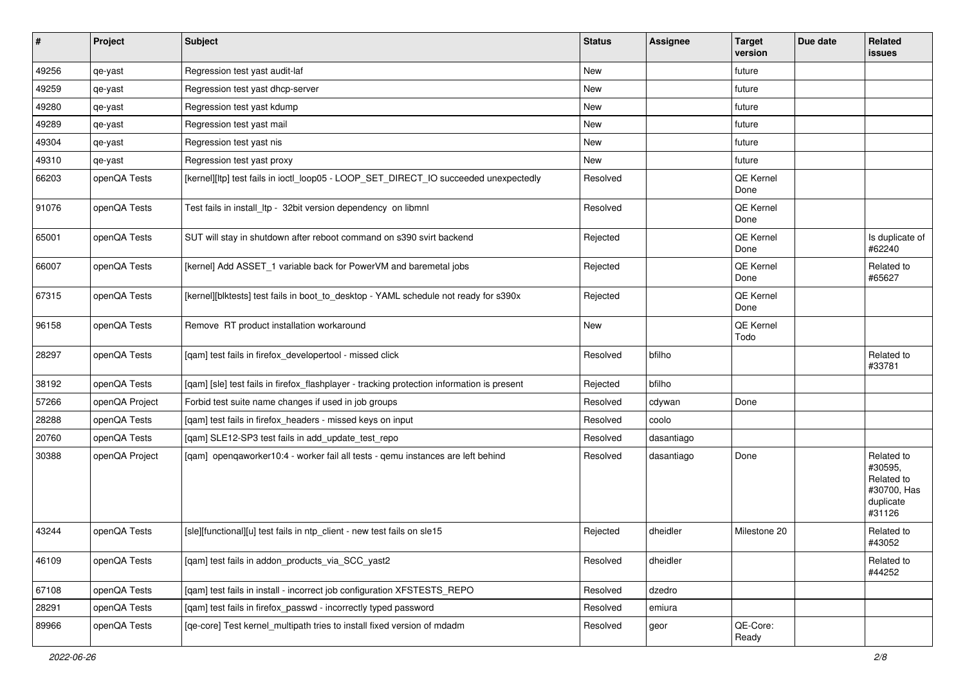| $\sharp$ | Project        | <b>Subject</b>                                                                             | <b>Status</b> | Assignee   | <b>Target</b><br>version | Due date | Related<br>issues                                                         |
|----------|----------------|--------------------------------------------------------------------------------------------|---------------|------------|--------------------------|----------|---------------------------------------------------------------------------|
| 49256    | qe-yast        | Regression test yast audit-laf                                                             | New           |            | future                   |          |                                                                           |
| 49259    | qe-yast        | Regression test yast dhcp-server                                                           | New           |            | future                   |          |                                                                           |
| 49280    | qe-yast        | Regression test yast kdump                                                                 | New           |            | future                   |          |                                                                           |
| 49289    | qe-yast        | Regression test yast mail                                                                  | New           |            | future                   |          |                                                                           |
| 49304    | qe-yast        | Regression test yast nis                                                                   | New           |            | future                   |          |                                                                           |
| 49310    | qe-yast        | Regression test yast proxy                                                                 | New           |            | future                   |          |                                                                           |
| 66203    | openQA Tests   | [kernel][ltp] test fails in ioctl_loop05 - LOOP_SET_DIRECT_IO succeeded unexpectedly       | Resolved      |            | QE Kernel<br>Done        |          |                                                                           |
| 91076    | openQA Tests   | Test fails in install_ltp - 32bit version dependency on libmnl                             | Resolved      |            | QE Kernel<br>Done        |          |                                                                           |
| 65001    | openQA Tests   | SUT will stay in shutdown after reboot command on s390 svirt backend                       | Rejected      |            | QE Kernel<br>Done        |          | Is duplicate of<br>#62240                                                 |
| 66007    | openQA Tests   | [kernel] Add ASSET 1 variable back for PowerVM and baremetal jobs                          | Rejected      |            | QE Kernel<br>Done        |          | Related to<br>#65627                                                      |
| 67315    | openQA Tests   | [kernel][blktests] test fails in boot_to_desktop - YAML schedule not ready for s390x       | Rejected      |            | QE Kernel<br>Done        |          |                                                                           |
| 96158    | openQA Tests   | Remove RT product installation workaround                                                  | New           |            | QE Kernel<br>Todo        |          |                                                                           |
| 28297    | openQA Tests   | [qam] test fails in firefox_developertool - missed click                                   | Resolved      | bfilho     |                          |          | Related to<br>#33781                                                      |
| 38192    | openQA Tests   | [qam] [sle] test fails in firefox_flashplayer - tracking protection information is present | Rejected      | bfilho     |                          |          |                                                                           |
| 57266    | openQA Project | Forbid test suite name changes if used in job groups                                       | Resolved      | cdywan     | Done                     |          |                                                                           |
| 28288    | openQA Tests   | [qam] test fails in firefox_headers - missed keys on input                                 | Resolved      | coolo      |                          |          |                                                                           |
| 20760    | openQA Tests   | [qam] SLE12-SP3 test fails in add_update_test_repo                                         | Resolved      | dasantiago |                          |          |                                                                           |
| 30388    | openQA Project | [qam] openqaworker10:4 - worker fail all tests - qemu instances are left behind            | Resolved      | dasantiago | Done                     |          | Related to<br>#30595.<br>Related to<br>#30700, Has<br>duplicate<br>#31126 |
| 43244    | openQA Tests   | [sle][functional][u] test fails in ntp_client - new test fails on sle15                    | Rejected      | dheidler   | Milestone 20             |          | Related to<br>#43052                                                      |
| 46109    | openQA Tests   | [gam] test fails in addon products via SCC yast2                                           | Resolved      | dheidler   |                          |          | Related to<br>#44252                                                      |
| 67108    | openQA Tests   | [qam] test fails in install - incorrect job configuration XFSTESTS_REPO                    | Resolved      | dzedro     |                          |          |                                                                           |
| 28291    | openQA Tests   | [qam] test fails in firefox_passwd - incorrectly typed password                            | Resolved      | emiura     |                          |          |                                                                           |
| 89966    | openQA Tests   | [qe-core] Test kernel_multipath tries to install fixed version of mdadm                    | Resolved      | geor       | QE-Core:<br>Ready        |          |                                                                           |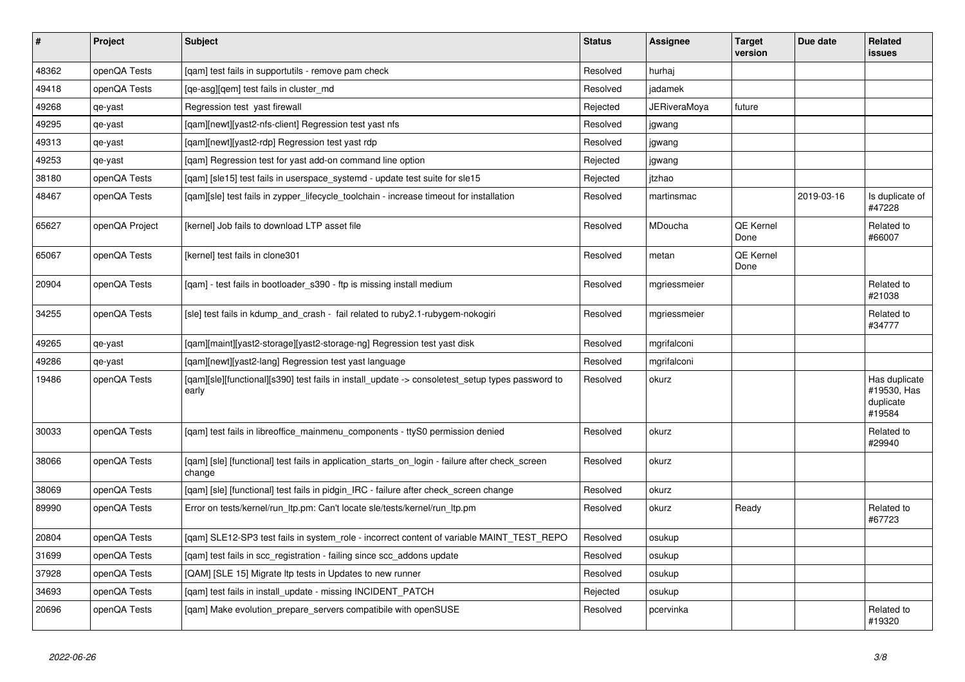| $\vert$ # | Project        | <b>Subject</b>                                                                                            | <b>Status</b> | <b>Assignee</b> | <b>Target</b><br>version | Due date   | <b>Related</b><br><b>issues</b>                     |
|-----------|----------------|-----------------------------------------------------------------------------------------------------------|---------------|-----------------|--------------------------|------------|-----------------------------------------------------|
| 48362     | openQA Tests   | [qam] test fails in supportutils - remove pam check                                                       | Resolved      | hurhaj          |                          |            |                                                     |
| 49418     | openQA Tests   | [qe-asg][qem] test fails in cluster_md                                                                    | Resolved      | jadamek         |                          |            |                                                     |
| 49268     | qe-yast        | Regression test yast firewall                                                                             | Rejected      | JERiveraMoya    | future                   |            |                                                     |
| 49295     | qe-yast        | [qam][newt][yast2-nfs-client] Regression test yast nfs                                                    | Resolved      | jgwang          |                          |            |                                                     |
| 49313     | qe-yast        | [qam][newt][yast2-rdp] Regression test yast rdp                                                           | Resolved      | jgwang          |                          |            |                                                     |
| 49253     | qe-yast        | [qam] Regression test for yast add-on command line option                                                 | Rejected      | jgwang          |                          |            |                                                     |
| 38180     | openQA Tests   | [gam] [sle15] test fails in userspace systemd - update test suite for sle15                               | Rejected      | itzhao          |                          |            |                                                     |
| 48467     | openQA Tests   | [qam][sle] test fails in zypper_lifecycle_toolchain - increase timeout for installation                   | Resolved      | martinsmac      |                          | 2019-03-16 | Is duplicate of<br>#47228                           |
| 65627     | openQA Project | [kernel] Job fails to download LTP asset file                                                             | Resolved      | <b>MDoucha</b>  | QE Kernel<br>Done        |            | Related to<br>#66007                                |
| 65067     | openQA Tests   | [kernel] test fails in clone301                                                                           | Resolved      | metan           | <b>QE Kernel</b><br>Done |            |                                                     |
| 20904     | openQA Tests   | [qam] - test fails in bootloader_s390 - ftp is missing install medium                                     | Resolved      | mgriessmeier    |                          |            | Related to<br>#21038                                |
| 34255     | openQA Tests   | [sle] test fails in kdump_and_crash - fail related to ruby2.1-rubygem-nokogiri                            | Resolved      | mgriessmeier    |                          |            | Related to<br>#34777                                |
| 49265     | qe-yast        | [gam][maint][yast2-storage][yast2-storage-ng] Regression test yast disk                                   | Resolved      | mgrifalconi     |                          |            |                                                     |
| 49286     | qe-yast        | [gam][newt][yast2-lang] Regression test yast language                                                     | Resolved      | mgrifalconi     |                          |            |                                                     |
| 19486     | openQA Tests   | [qam][sle][functional][s390] test fails in install_update -> consoletest_setup types password to<br>early | Resolved      | okurz           |                          |            | Has duplicate<br>#19530, Has<br>duplicate<br>#19584 |
| 30033     | openQA Tests   | [qam] test fails in libreoffice_mainmenu_components - ttyS0 permission denied                             | Resolved      | okurz           |                          |            | Related to<br>#29940                                |
| 38066     | openQA Tests   | [gam] [sle] [functional] test fails in application starts on login - failure after check screen<br>change | Resolved      | okurz           |                          |            |                                                     |
| 38069     | openQA Tests   | [gam] [sle] [functional] test fails in pidgin IRC - failure after check screen change                     | Resolved      | okurz           |                          |            |                                                     |
| 89990     | openQA Tests   | Error on tests/kernel/run ltp.pm: Can't locate sle/tests/kernel/run ltp.pm                                | Resolved      | okurz           | Ready                    |            | Related to<br>#67723                                |
| 20804     | openQA Tests   | [gam] SLE12-SP3 test fails in system role - incorrect content of variable MAINT TEST REPO                 | Resolved      | osukup          |                          |            |                                                     |
| 31699     | openQA Tests   | [qam] test fails in scc_registration - failing since scc_addons update                                    | Resolved      | osukup          |                          |            |                                                     |
| 37928     | openQA Tests   | [QAM] [SLE 15] Migrate Itp tests in Updates to new runner                                                 | Resolved      | osukup          |                          |            |                                                     |
| 34693     | openQA Tests   | [qam] test fails in install_update - missing INCIDENT_PATCH                                               | Rejected      | osukup          |                          |            |                                                     |
| 20696     | openQA Tests   | [gam] Make evolution prepare servers compatibile with openSUSE                                            | Resolved      | pcervinka       |                          |            | Related to<br>#19320                                |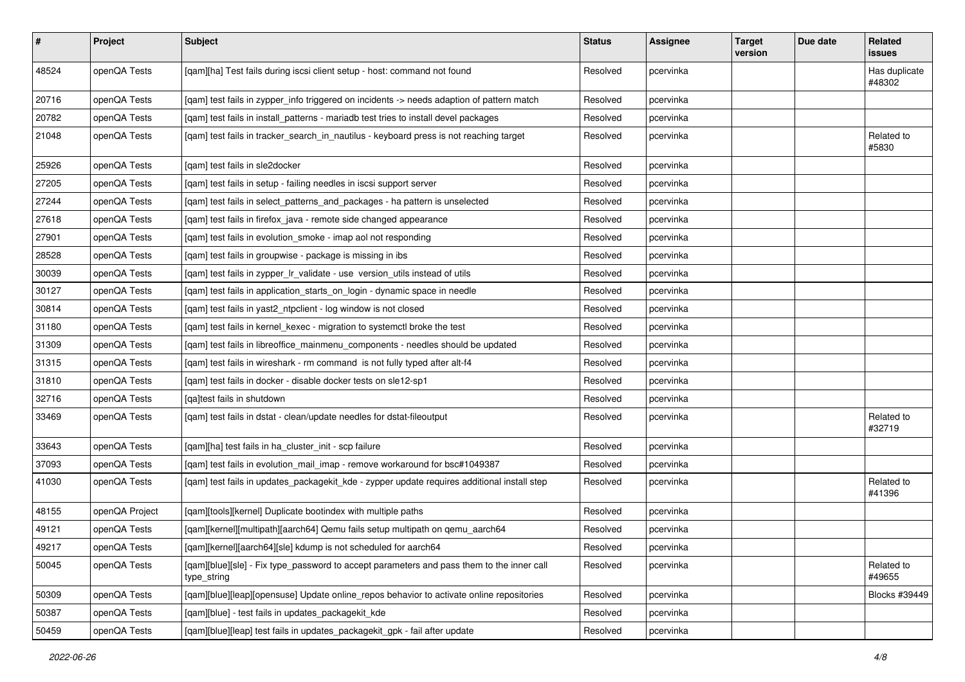| $\vert$ # | Project        | <b>Subject</b>                                                                                           | <b>Status</b> | Assignee  | <b>Target</b><br>version | Due date | Related<br>issues       |
|-----------|----------------|----------------------------------------------------------------------------------------------------------|---------------|-----------|--------------------------|----------|-------------------------|
| 48524     | openQA Tests   | [qam][ha] Test fails during iscsi client setup - host: command not found                                 | Resolved      | pcervinka |                          |          | Has duplicate<br>#48302 |
| 20716     | openQA Tests   | [qam] test fails in zypper_info triggered on incidents -> needs adaption of pattern match                | Resolved      | pcervinka |                          |          |                         |
| 20782     | openQA Tests   | [qam] test fails in install_patterns - mariadb test tries to install devel packages                      | Resolved      | pcervinka |                          |          |                         |
| 21048     | openQA Tests   | [gam] test fails in tracker search in nautilus - keyboard press is not reaching target                   | Resolved      | pcervinka |                          |          | Related to<br>#5830     |
| 25926     | openQA Tests   | [gam] test fails in sle2docker                                                                           | Resolved      | pcervinka |                          |          |                         |
| 27205     | openQA Tests   | [qam] test fails in setup - failing needles in iscsi support server                                      | Resolved      | pcervinka |                          |          |                         |
| 27244     | openQA Tests   | [qam] test fails in select_patterns_and_packages - ha pattern is unselected                              | Resolved      | pcervinka |                          |          |                         |
| 27618     | openQA Tests   | [qam] test fails in firefox_java - remote side changed appearance                                        | Resolved      | pcervinka |                          |          |                         |
| 27901     | openQA Tests   | [qam] test fails in evolution_smoke - imap aol not responding                                            | Resolved      | pcervinka |                          |          |                         |
| 28528     | openQA Tests   | [qam] test fails in groupwise - package is missing in ibs                                                | Resolved      | pcervinka |                          |          |                         |
| 30039     | openQA Tests   | [qam] test fails in zypper_lr_validate - use version_utils instead of utils                              | Resolved      | pcervinka |                          |          |                         |
| 30127     | openQA Tests   | [qam] test fails in application_starts_on_login - dynamic space in needle                                | Resolved      | pcervinka |                          |          |                         |
| 30814     | openQA Tests   | [qam] test fails in yast2_ntpclient - log window is not closed                                           | Resolved      | pcervinka |                          |          |                         |
| 31180     | openQA Tests   | [qam] test fails in kernel_kexec - migration to systemctl broke the test                                 | Resolved      | pcervinka |                          |          |                         |
| 31309     | openQA Tests   | [qam] test fails in libreoffice_mainmenu_components - needles should be updated                          | Resolved      | pcervinka |                          |          |                         |
| 31315     | openQA Tests   | [gam] test fails in wireshark - rm command is not fully typed after alt-f4                               | Resolved      | pcervinka |                          |          |                         |
| 31810     | openQA Tests   | [gam] test fails in docker - disable docker tests on sle12-sp1                                           | Resolved      | pcervinka |                          |          |                         |
| 32716     | openQA Tests   | [qa]test fails in shutdown                                                                               | Resolved      | pcervinka |                          |          |                         |
| 33469     | openQA Tests   | [qam] test fails in dstat - clean/update needles for dstat-fileoutput                                    | Resolved      | pcervinka |                          |          | Related to<br>#32719    |
| 33643     | openQA Tests   | [qam][ha] test fails in ha_cluster_init - scp failure                                                    | Resolved      | pcervinka |                          |          |                         |
| 37093     | openQA Tests   | [qam] test fails in evolution_mail_imap - remove workaround for bsc#1049387                              | Resolved      | pcervinka |                          |          |                         |
| 41030     | openQA Tests   | [qam] test fails in updates_packagekit_kde - zypper update requires additional install step              | Resolved      | pcervinka |                          |          | Related to<br>#41396    |
| 48155     | openQA Project | [qam][tools][kernel] Duplicate bootindex with multiple paths                                             | Resolved      | pcervinka |                          |          |                         |
| 49121     | openQA Tests   | [qam][kernel][multipath][aarch64] Qemu fails setup multipath on qemu_aarch64                             | Resolved      | pcervinka |                          |          |                         |
| 49217     | openQA Tests   | [qam][kernel][aarch64][sle] kdump is not scheduled for aarch64                                           | Resolved      | pcervinka |                          |          |                         |
| 50045     | openQA Tests   | [qam][blue][sle] - Fix type_password to accept parameters and pass them to the inner call<br>type_string | Resolved      | pcervinka |                          |          | Related to<br>#49655    |
| 50309     | openQA Tests   | [qam][blue][leap][opensuse] Update online_repos behavior to activate online repositories                 | Resolved      | pcervinka |                          |          | Blocks #39449           |
| 50387     | openQA Tests   | [qam][blue] - test fails in updates_packagekit_kde                                                       | Resolved      | pcervinka |                          |          |                         |
| 50459     | openQA Tests   | [qam][blue][leap] test fails in updates_packagekit_gpk - fail after update                               | Resolved      | pcervinka |                          |          |                         |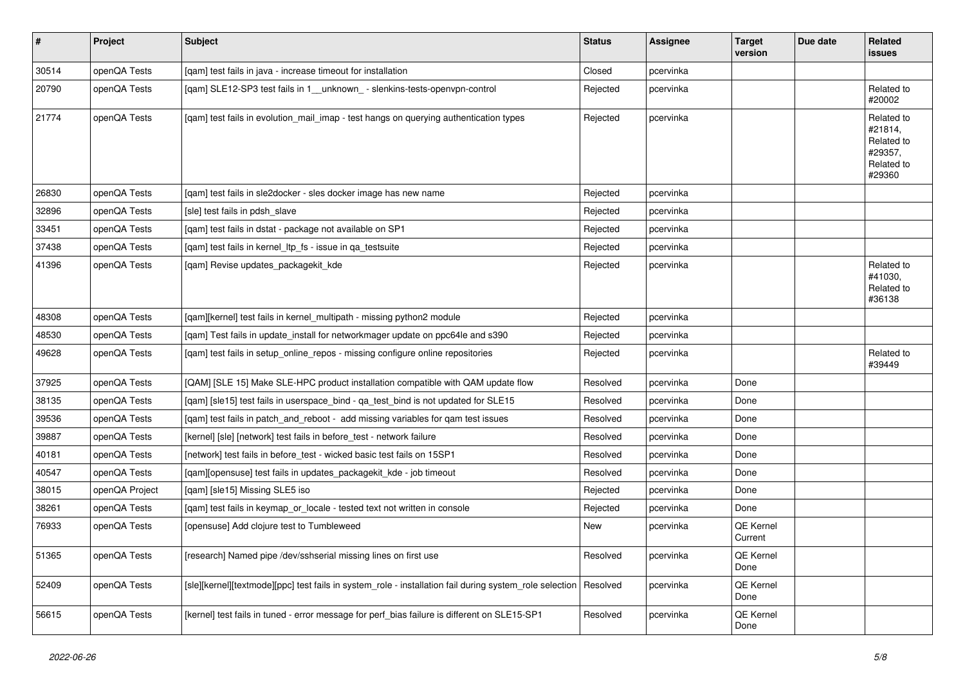| $\vert$ # | Project        | <b>Subject</b>                                                                                                     | <b>Status</b> | Assignee  | <b>Target</b><br>version | Due date | <b>Related</b><br><b>issues</b>                                        |
|-----------|----------------|--------------------------------------------------------------------------------------------------------------------|---------------|-----------|--------------------------|----------|------------------------------------------------------------------------|
| 30514     | openQA Tests   | [qam] test fails in java - increase timeout for installation                                                       | Closed        | pcervinka |                          |          |                                                                        |
| 20790     | openQA Tests   | [qam] SLE12-SP3 test fails in 1_unknown_- slenkins-tests-openvpn-control                                           | Rejected      | pcervinka |                          |          | Related to<br>#20002                                                   |
| 21774     | openQA Tests   | [qam] test fails in evolution_mail_imap - test hangs on querying authentication types                              | Rejected      | pcervinka |                          |          | Related to<br>#21814,<br>Related to<br>#29357,<br>Related to<br>#29360 |
| 26830     | openQA Tests   | [qam] test fails in sle2docker - sles docker image has new name                                                    | Rejected      | pcervinka |                          |          |                                                                        |
| 32896     | openQA Tests   | [sle] test fails in pdsh slave                                                                                     | Rejected      | pcervinka |                          |          |                                                                        |
| 33451     | openQA Tests   | [qam] test fails in dstat - package not available on SP1                                                           | Rejected      | pcervinka |                          |          |                                                                        |
| 37438     | openQA Tests   | [qam] test fails in kernel_ltp_fs - issue in qa_testsuite                                                          | Rejected      | pcervinka |                          |          |                                                                        |
| 41396     | openQA Tests   | [gam] Revise updates packagekit kde                                                                                | Rejected      | pcervinka |                          |          | Related to<br>#41030,<br>Related to<br>#36138                          |
| 48308     | openQA Tests   | [qam][kernel] test fails in kernel_multipath - missing python2 module                                              | Rejected      | pcervinka |                          |          |                                                                        |
| 48530     | openQA Tests   | [qam] Test fails in update_install for networkmager update on ppc64le and s390                                     | Rejected      | pcervinka |                          |          |                                                                        |
| 49628     | openQA Tests   | [gam] test fails in setup online repos - missing configure online repositories                                     | Rejected      | pcervinka |                          |          | Related to<br>#39449                                                   |
| 37925     | openQA Tests   | [QAM] [SLE 15] Make SLE-HPC product installation compatible with QAM update flow                                   | Resolved      | pcervinka | Done                     |          |                                                                        |
| 38135     | openQA Tests   | [qam] [sle15] test fails in userspace_bind - qa_test_bind is not updated for SLE15                                 | Resolved      | pcervinka | Done                     |          |                                                                        |
| 39536     | openQA Tests   | [qam] test fails in patch_and_reboot - add missing variables for qam test issues                                   | Resolved      | pcervinka | Done                     |          |                                                                        |
| 39887     | openQA Tests   | [kernel] [sle] [network] test fails in before test - network failure                                               | Resolved      | pcervinka | Done                     |          |                                                                        |
| 40181     | openQA Tests   | [network] test fails in before test - wicked basic test fails on 15SP1                                             | Resolved      | pcervinka | Done                     |          |                                                                        |
| 40547     | openQA Tests   | [gam][opensuse] test fails in updates packagekit kde - job timeout                                                 | Resolved      | pcervinka | Done                     |          |                                                                        |
| 38015     | openQA Project | [gam] [sle15] Missing SLE5 iso                                                                                     | Rejected      | pcervinka | Done                     |          |                                                                        |
| 38261     | openQA Tests   | [qam] test fails in keymap_or_locale - tested text not written in console                                          | Rejected      | pcervinka | Done                     |          |                                                                        |
| 76933     | openQA Tests   | [opensuse] Add clojure test to Tumbleweed                                                                          | New           | pcervinka | QE Kernel<br>Current     |          |                                                                        |
| 51365     | openQA Tests   | [research] Named pipe /dev/sshserial missing lines on first use                                                    | Resolved      | pcervinka | QE Kernel<br>Done        |          |                                                                        |
| 52409     | openQA Tests   | [sle][kernel][textmode][ppc] test fails in system role - installation fail during system role selection   Resolved |               | pcervinka | QE Kernel<br>Done        |          |                                                                        |
| 56615     | openQA Tests   | [kernel] test fails in tuned - error message for perf_bias failure is different on SLE15-SP1                       | Resolved      | pcervinka | QE Kernel<br>Done        |          |                                                                        |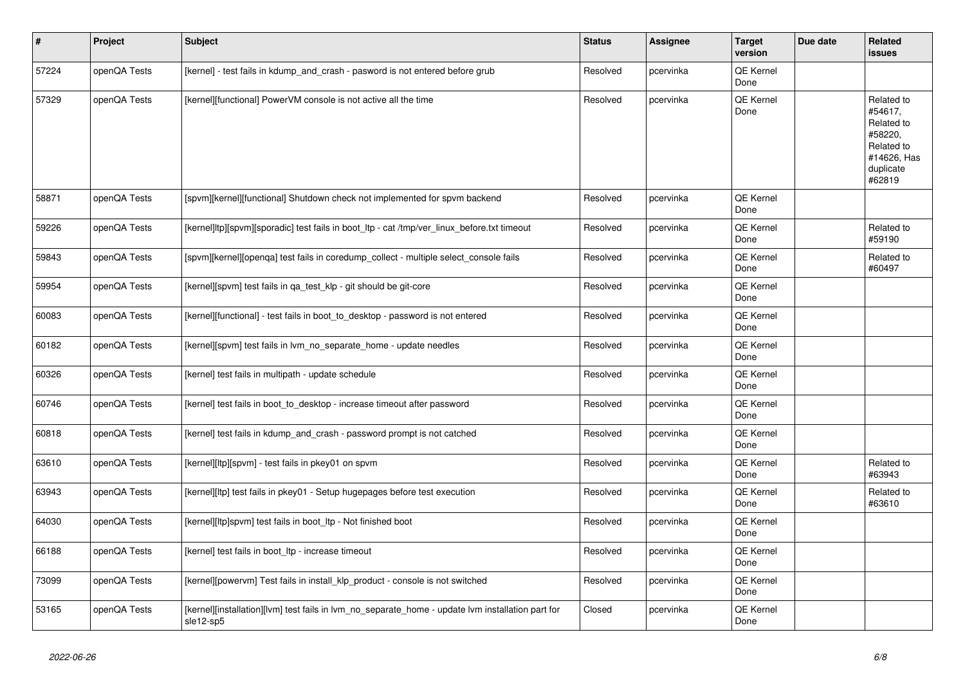| $\vert$ # | Project      | <b>Subject</b>                                                                                                 | <b>Status</b> | Assignee  | <b>Target</b><br>version | Due date | Related<br>issues                                                                                  |
|-----------|--------------|----------------------------------------------------------------------------------------------------------------|---------------|-----------|--------------------------|----------|----------------------------------------------------------------------------------------------------|
| 57224     | openQA Tests | [kernel] - test fails in kdump_and_crash - pasword is not entered before grub                                  | Resolved      | pcervinka | QE Kernel<br>Done        |          |                                                                                                    |
| 57329     | openQA Tests | [kernel][functional] PowerVM console is not active all the time                                                | Resolved      | pcervinka | QE Kernel<br>Done        |          | Related to<br>#54617,<br>Related to<br>#58220,<br>Related to<br>#14626, Has<br>duplicate<br>#62819 |
| 58871     | openQA Tests | [spvm][kernel][functional] Shutdown check not implemented for spvm backend                                     | Resolved      | pcervinka | <b>QE Kernel</b><br>Done |          |                                                                                                    |
| 59226     | openQA Tests | [kernel]ltp][spvm][sporadic] test fails in boot ltp - cat /tmp/ver linux before.txt timeout                    | Resolved      | pcervinka | <b>QE Kernel</b><br>Done |          | Related to<br>#59190                                                                               |
| 59843     | openQA Tests | [spvm][kernel][openga] test fails in coredump collect - multiple select console fails                          | Resolved      | pcervinka | QE Kernel<br>Done        |          | Related to<br>#60497                                                                               |
| 59954     | openQA Tests | [kernel][spvm] test fails in qa_test_klp - git should be git-core                                              | Resolved      | pcervinka | <b>QE Kernel</b><br>Done |          |                                                                                                    |
| 60083     | openQA Tests | [kernel][functional] - test fails in boot to desktop - password is not entered                                 | Resolved      | pcervinka | QE Kernel<br>Done        |          |                                                                                                    |
| 60182     | openQA Tests | [kernel][spvm] test fails in lvm no separate home - update needles                                             | Resolved      | pcervinka | QE Kernel<br>Done        |          |                                                                                                    |
| 60326     | openQA Tests | [kernel] test fails in multipath - update schedule                                                             | Resolved      | pcervinka | <b>QE Kernel</b><br>Done |          |                                                                                                    |
| 60746     | openQA Tests | [kernel] test fails in boot to desktop - increase timeout after password                                       | Resolved      | pcervinka | QE Kernel<br>Done        |          |                                                                                                    |
| 60818     | openQA Tests | [kernel] test fails in kdump and crash - password prompt is not catched                                        | Resolved      | pcervinka | <b>QE Kernel</b><br>Done |          |                                                                                                    |
| 63610     | openQA Tests | [kernel][ltp][spvm] - test fails in pkey01 on spvm                                                             | Resolved      | pcervinka | QE Kernel<br>Done        |          | Related to<br>#63943                                                                               |
| 63943     | openQA Tests | [kernel][ltp] test fails in pkey01 - Setup hugepages before test execution                                     | Resolved      | pcervinka | QE Kernel<br>Done        |          | Related to<br>#63610                                                                               |
| 64030     | openQA Tests | [kernel][ltp]spvm] test fails in boot_ltp - Not finished boot                                                  | Resolved      | pcervinka | <b>QE Kernel</b><br>Done |          |                                                                                                    |
| 66188     | openQA Tests | [kernel] test fails in boot Itp - increase timeout                                                             | Resolved      | pcervinka | QE Kernel<br>Done        |          |                                                                                                    |
| 73099     | openQA Tests | [kernel][powervm] Test fails in install klp product - console is not switched                                  | Resolved      | pcervinka | <b>QE Kernel</b><br>Done |          |                                                                                                    |
| 53165     | openQA Tests | [kernel][installation][lvm] test fails in lvm_no_separate_home - update lvm installation part for<br>sle12-sp5 | Closed        | pcervinka | QE Kernel<br>Done        |          |                                                                                                    |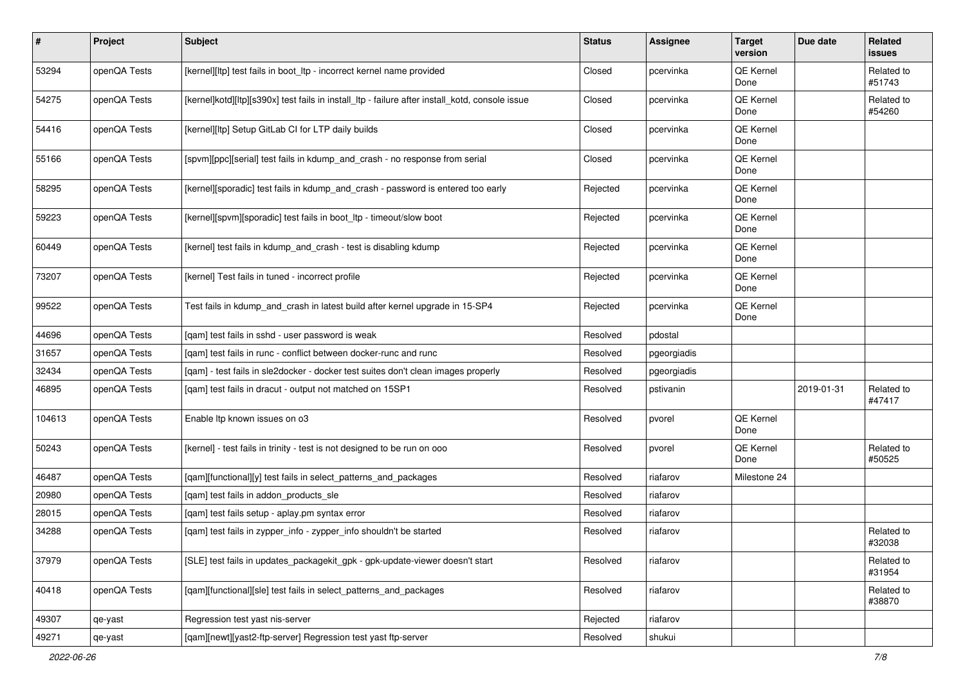| $\vert$ # | Project      | Subject                                                                                         | <b>Status</b> | <b>Assignee</b> | <b>Target</b><br>version | Due date   | Related<br>issues    |
|-----------|--------------|-------------------------------------------------------------------------------------------------|---------------|-----------------|--------------------------|------------|----------------------|
| 53294     | openQA Tests | [kernel][ltp] test fails in boot_ltp - incorrect kernel name provided                           | Closed        | pcervinka       | QE Kernel<br>Done        |            | Related to<br>#51743 |
| 54275     | openQA Tests | [kernel]kotd][ltp][s390x] test fails in install_ltp - failure after install_kotd, console issue | Closed        | pcervinka       | QE Kernel<br>Done        |            | Related to<br>#54260 |
| 54416     | openQA Tests | [kernel][ltp] Setup GitLab CI for LTP daily builds                                              | Closed        | pcervinka       | QE Kernel<br>Done        |            |                      |
| 55166     | openQA Tests | [spvm][ppc][serial] test fails in kdump_and_crash - no response from serial                     | Closed        | pcervinka       | QE Kernel<br>Done        |            |                      |
| 58295     | openQA Tests | [kernel][sporadic] test fails in kdump_and_crash - password is entered too early                | Rejected      | pcervinka       | QE Kernel<br>Done        |            |                      |
| 59223     | openQA Tests | [kernel][spvm][sporadic] test fails in boot_ltp - timeout/slow boot                             | Rejected      | pcervinka       | QE Kernel<br>Done        |            |                      |
| 60449     | openQA Tests | [kernel] test fails in kdump_and_crash - test is disabling kdump                                | Rejected      | pcervinka       | QE Kernel<br>Done        |            |                      |
| 73207     | openQA Tests | [kernel] Test fails in tuned - incorrect profile                                                | Rejected      | pcervinka       | QE Kernel<br>Done        |            |                      |
| 99522     | openQA Tests | Test fails in kdump_and_crash in latest build after kernel upgrade in 15-SP4                    | Rejected      | pcervinka       | QE Kernel<br>Done        |            |                      |
| 44696     | openQA Tests | [qam] test fails in sshd - user password is weak                                                | Resolved      | pdostal         |                          |            |                      |
| 31657     | openQA Tests | [gam] test fails in runc - conflict between docker-runc and runc                                | Resolved      | pgeorgiadis     |                          |            |                      |
| 32434     | openQA Tests | [gam] - test fails in sle2docker - docker test suites don't clean images properly               | Resolved      | pgeorgiadis     |                          |            |                      |
| 46895     | openQA Tests | [qam] test fails in dracut - output not matched on 15SP1                                        | Resolved      | pstivanin       |                          | 2019-01-31 | Related to<br>#47417 |
| 104613    | openQA Tests | Enable Itp known issues on o3                                                                   | Resolved      | pvorel          | QE Kernel<br>Done        |            |                      |
| 50243     | openQA Tests | [kernel] - test fails in trinity - test is not designed to be run on ooo                        | Resolved      | pvorel          | QE Kernel<br>Done        |            | Related to<br>#50525 |
| 46487     | openQA Tests | [qam][functional][y] test fails in select_patterns_and_packages                                 | Resolved      | riafarov        | Milestone 24             |            |                      |
| 20980     | openQA Tests | [gam] test fails in addon products sle                                                          | Resolved      | riafarov        |                          |            |                      |
| 28015     | openQA Tests | [qam] test fails setup - aplay.pm syntax error                                                  | Resolved      | riafarov        |                          |            |                      |
| 34288     | openQA Tests | [qam] test fails in zypper_info - zypper_info shouldn't be started                              | Resolved      | riafarov        |                          |            | Related to<br>#32038 |
| 37979     | openQA Tests | [SLE] test fails in updates_packagekit_gpk - gpk-update-viewer doesn't start                    | Resolved      | riafarov        |                          |            | Related to<br>#31954 |
| 40418     | openQA Tests | [qam][functional][sle] test fails in select_patterns_and_packages                               | Resolved      | riafarov        |                          |            | Related to<br>#38870 |
| 49307     | qe-yast      | Regression test yast nis-server                                                                 | Rejected      | riafarov        |                          |            |                      |
| 49271     | qe-yast      | [qam][newt][yast2-ftp-server] Regression test yast ftp-server                                   | Resolved      | shukui          |                          |            |                      |